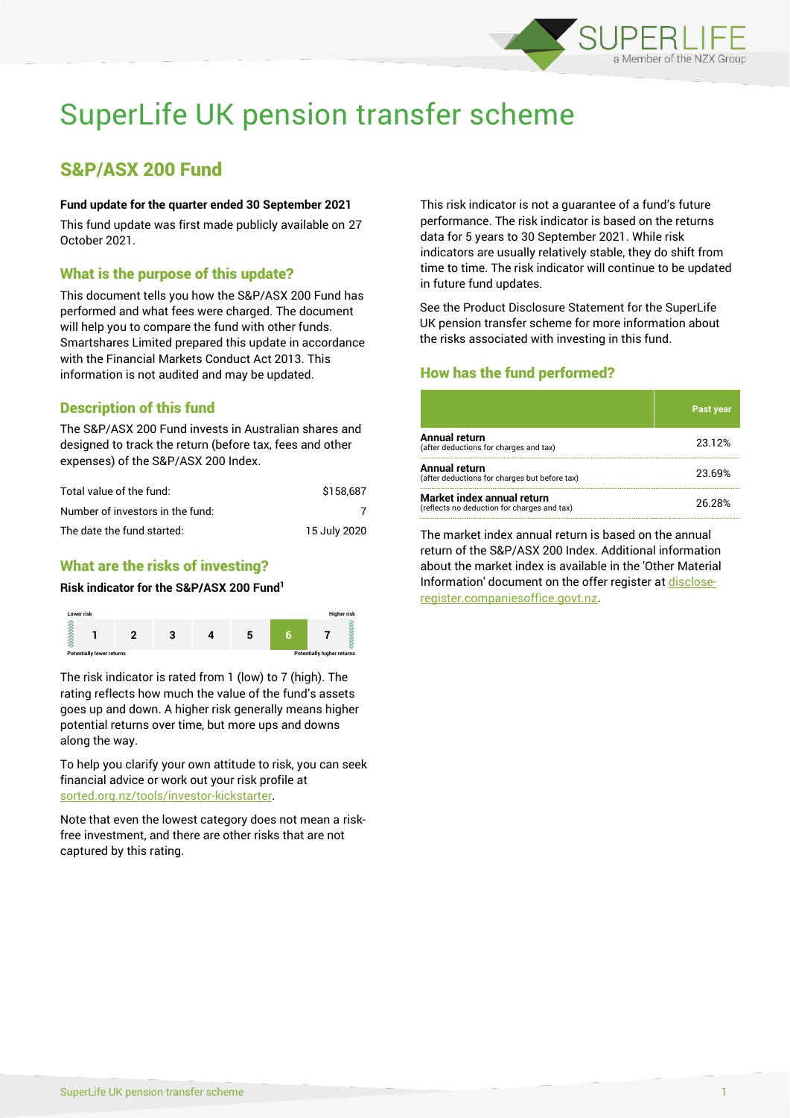

# SuperLife UK pension transfer scheme

# S&P/ASX 200 Fund

#### **Fund update for the quarter ended 30 September 2021**

This fund update was first made publicly available on 27 October 2021.

# What is the purpose of this update?

This document tells you how the S&P/ASX 200 Fund has performed and what fees were charged. The document will help you to compare the fund with other funds. Smartshares Limited prepared this update in accordance with the Financial Markets Conduct Act 2013. This information is not audited and may be updated.

# Description of this fund

The S&P/ASX 200 Fund invests in Australian shares and designed to track the return (before tax, fees and other expenses) of the S&P/ASX 200 Index.

| Total value of the fund:         | \$158.687    |
|----------------------------------|--------------|
| Number of investors in the fund: |              |
| The date the fund started:       | 15 July 2020 |

# What are the risks of investing?

#### **Risk indicator for the S&P/ASX 200 Fund<sup>1</sup>**



The risk indicator is rated from 1 (low) to 7 (high). The rating reflects how much the value of the fund's assets goes up and down. A higher risk generally means higher potential returns over time, but more ups and downs along the way.

To help you clarify your own attitude to risk, you can seek financial advice or work out your risk profile at [sorted.org.nz/tools/investor-kickstarter.](http://www.sorted.org.nz/tools/investor-kickstarter)

Note that even the lowest category does not mean a riskfree investment, and there are other risks that are not captured by this rating.

This risk indicator is not a guarantee of a fund's future performance. The risk indicator is based on the returns data for 5 years to 30 September 2021. While risk indicators are usually relatively stable, they do shift from time to time. The risk indicator will continue to be updated in future fund updates.

See the Product Disclosure Statement for the SuperLife UK pension transfer scheme for more information about the risks associated with investing in this fund.

# How has the fund performed?

|                                                                           | <b>Past year</b> |
|---------------------------------------------------------------------------|------------------|
| Annual return<br>(after deductions for charges and tax)                   | 23.12%           |
| Annual return<br>(after deductions for charges but before tax)            | 23.69%           |
| Market index annual return<br>(reflects no deduction for charges and tax) | 26.28%           |

The market index annual return is based on the annual return of the S&P/ASX 200 Index. Additional information about the market index is available in the 'Other Material Information' document on the offer register a[t disclose](http://www.disclose-register.companiesoffice.govt.nz/)[register.companiesoffice.govt.nz.](http://www.disclose-register.companiesoffice.govt.nz/)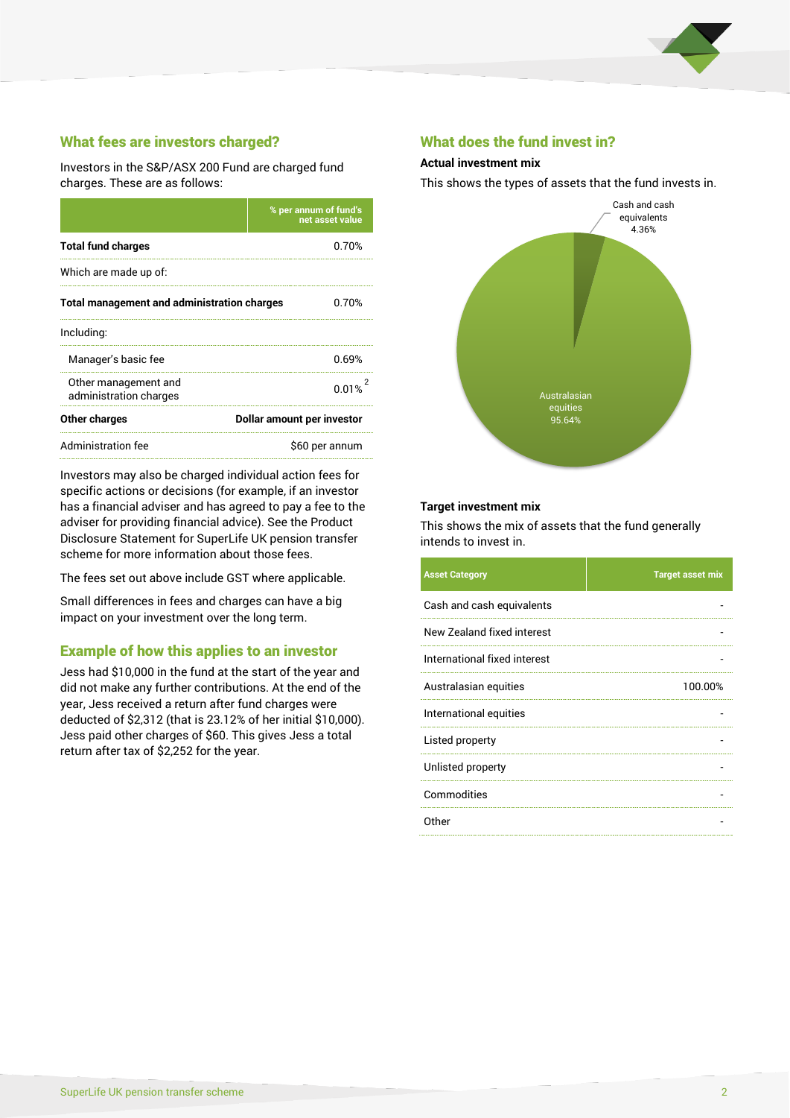

# What fees are investors charged?

Investors in the S&P/ASX 200 Fund are charged fund charges. These are as follows:

|                                                    | % per annum of fund's<br>net asset value |  |
|----------------------------------------------------|------------------------------------------|--|
| <b>Total fund charges</b>                          | 0.70%                                    |  |
| Which are made up of:                              |                                          |  |
| <b>Total management and administration charges</b> | 0.70%                                    |  |
| Including:                                         |                                          |  |
| Manager's basic fee                                | 0.69%                                    |  |
| Other management and<br>administration charges     | 0.01%                                    |  |
| Other charges                                      | Dollar amount per investor               |  |
| Administration fee                                 | \$60 per annum                           |  |

Investors may also be charged individual action fees for specific actions or decisions (for example, if an investor has a financial adviser and has agreed to pay a fee to the adviser for providing financial advice). See the Product Disclosure Statement for SuperLife UK pension transfer scheme for more information about those fees.

The fees set out above include GST where applicable.

Small differences in fees and charges can have a big impact on your investment over the long term.

### Example of how this applies to an investor

Jess had \$10,000 in the fund at the start of the year and did not make any further contributions. At the end of the year, Jess received a return after fund charges were deducted of \$2,312 (that is 23.12% of her initial \$10,000). Jess paid other charges of \$60. This gives Jess a total return after tax of \$2,252 for the year.

#### What does the fund invest in?

#### **Actual investment mix**

This shows the types of assets that the fund invests in.



#### **Target investment mix**

This shows the mix of assets that the fund generally intends to invest in.

| <b>Asset Category</b>        | <b>Target asset mix</b> |
|------------------------------|-------------------------|
| Cash and cash equivalents    |                         |
| New Zealand fixed interest   |                         |
| International fixed interest |                         |
| Australasian equities        | 100.00%                 |
| International equities       |                         |
| Listed property              |                         |
| Unlisted property            |                         |
| Commodities                  |                         |
| Other                        |                         |